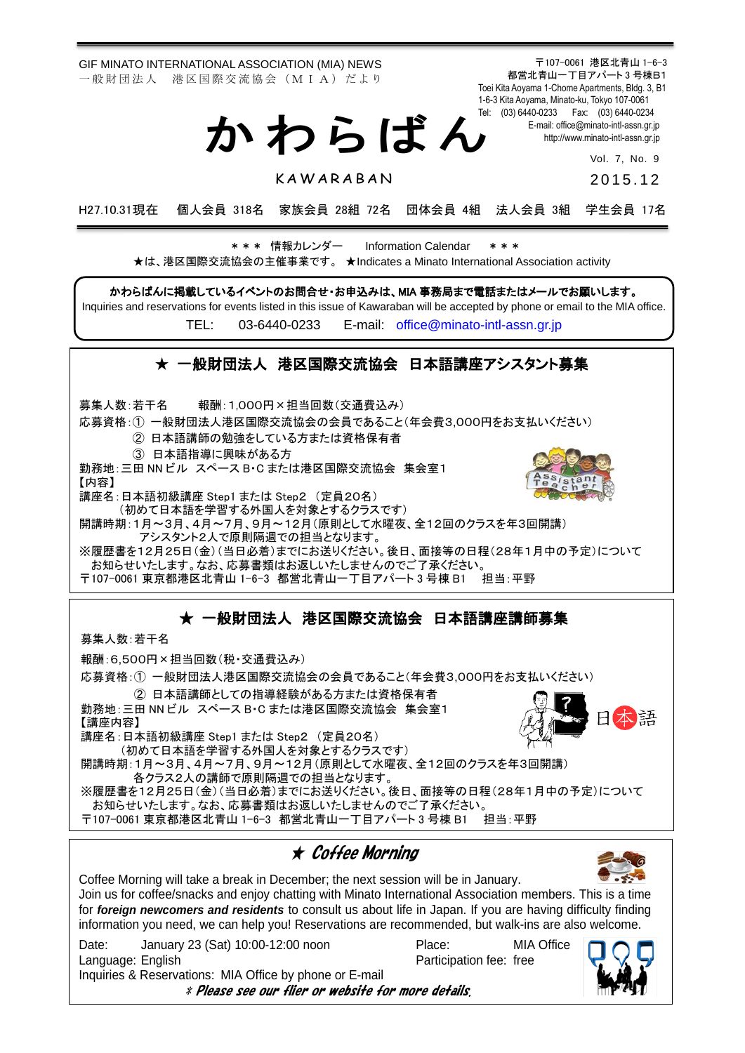GIF MINATO INTERNATIONAL ASSOCIATION (MIA) NEWS 一 般 財 団 法 人 港 区 国 際 交 流 協 会 (M I A) だ よ り

募集人数:若干名 報酬:1,000円×担当回数(交通費込み)

か わ ら ば ん

〒107-0061 港区北青山 1-6-3 都営北青山一丁目アパート 3 号棟B1 Toei Kita Aoyama 1-Chome Apartments, Bldg. 3, B1 1-6-3 Kita Aoyama, Minato-ku, Tokyo 107-0061 Tel: (03) 6440-0233 Fax: (03) 6440-0234 E-mail[: office@minato-intl-assn.gr.jp](mailto:office@minato-intl-assn.gr.jp) [http://www.minato-intl-assn.gr.jp](http://www.minato-intl-assn.gr.jp/)

Vol. 7, No. 9

**KAWARABAN** 

2 0 1 5 . 1 2

H27.10.31現在 個人会員 318名 家族会員 28組 72名 団体会員 4組 法人会員 3組 学生会員 17名

\* \* \* 情報カレンダー Information Calendar \* \* \* ★は、港区国際交流協会の主催事業です。 ★Indicates a Minato International Association activity

かわらばんに掲載しているイベントのお問合せ・お申込みは、MIA 事務局まで電話またはメールでお願いします。

Inquiries and reservations for events listed in this issue of Kawaraban will be accepted by phone or email to the MIA office.

TEL: [03-6440-0233](mailto:TEL:%0903-6440-0233) E-mail: [office@minato-intl-assn.gr.jp](mailto:office@minato-intl-assn.gr.jp)

### ★ 一般財団法人 港区国際交流協会 日本語講座アシスタント募集

応募資格:① 一般財団法人港区国際交流協会の会員であること(年会費3,000円をお支払いください) ② 日本語講師の勉強をしている方または資格保有者 ③ 日本語指導に興味がある方 勤務地:三田 NN ビル スペース B・C または港区国際交流協会 集会室1 【内容】 講座名:日本語初級講座 Step1 または Step2 (定員20名) (初めて日本語を学習する外国人を対象とするクラスです)

開講時期:1月~3月、4月~7月、9月~12月(原則として水曜夜、全12回のクラスを年3回開講) アシスタント2人で原則隔週での担当となります。

※履歴書を12月25日(金)(当日必着)までにお送りください。後日、面接等の日程(28年1月中の予定)について お知らせいたします。なお、応募書類はお返しいたしませんのでご了承ください。 〒107-0061 東京都港区北青山 1-6-3 都営北青山一丁目アパート 3 号棟 B1 担当:平野

### ★ 一般財団法人 港区国際交流協会 日本語講座講師募集

募集人数:若干名

報酬:6,500円×担当回数(税・交通費込み)

応募資格:① 一般財団法人港区国際交流協会の会員であること(年会費3,000円をお支払いください)

② 日本語講師としての指導経験がある方または資格保有者 勤務地:三田 NN ビル スペース B・C または港区国際交流協会 集会室1 【講座内容】 講座名:日本語初級講座 Step1 または Step2 (定員20名) (初めて日本語を学習する外国人を対象とするクラスです) 開講時期:1月~3月、4月~7月、9月~12月(原則として水曜夜、全12回のクラスを年3回開講)

各クラス2人の講師で原則隔週での担当となります。 ※履歴書を12月25日(金)(当日必着)までにお送りください。後日、面接等の日程(28年1月中の予定)について

お知らせいたします。なお、応募書類はお返しいたしませんのでご了承ください。 〒107-0061 東京都港区北青山 1-6-3 都営北青山一丁目アパート 3 号棟 B1 担当:平野

## ★ Coffee Morning

Coffee Morning will take a break in December; the next session will be in January. Join us for coffee/snacks and enjoy chatting with Minato International Association members. This is a time for *foreign newcomers and residents* to consult us about life in Japan. If you are having difficulty finding information you need, we can help you! Reservations are recommended, but walk-ins are also welcome.

Date: January 23 (Sat) 10:00-12:00 noon Place: MIA Office Language: English Participation fee: free Inquiries & Reservations: MIA Office by phone or E-mail \* Please see our flier or website for more details.